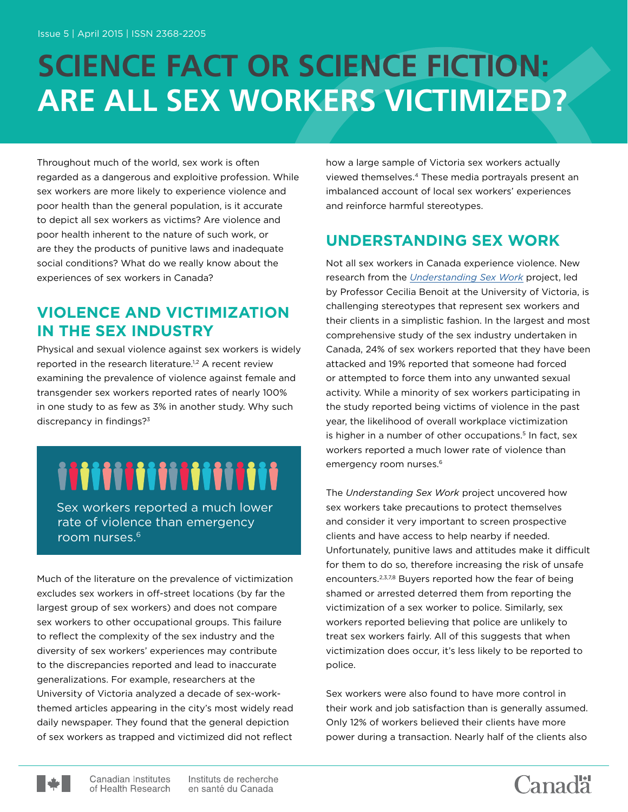## **SCIENCE FACT OR SCIENCE FICTION: ARE ALL SEX WORKERS VICTIMIZED?**

Throughout much of the world, sex work is often regarded as a dangerous and exploitive profession. While sex workers are more likely to experience violence and poor health than the general population, is it accurate to depict all sex workers as victims? Are violence and poor health inherent to the nature of such work, or are they the products of punitive laws and inadequate social conditions? What do we really know about the experiences of sex workers in Canada?

#### **VIOLENCE AND VICTIMIZATION IN THE SEX INDUSTRY**

Physical and sexual violence against sex workers is widely reported in the research literature.<sup>1,2</sup> A recent review examining the prevalence of violence against female and transgender sex workers reported rates of nearly 100% in one study to as few as 3% in another study. Why such discrepancy in findings?3

# iiiiiiiiiiiiiiiiii

 Sex workers reported a much lower rate of violence than emergency room nurses.6

Much of the literature on the prevalence of victimization excludes sex workers in off-street locations (by far the largest group of sex workers) and does not compare sex workers to other occupational groups. This failure to reflect the complexity of the sex industry and the diversity of sex workers' experiences may contribute to the discrepancies reported and lead to inaccurate generalizations. For example, researchers at the University of Victoria analyzed a decade of sex-workthemed articles appearing in the city's most widely read daily newspaper. They found that the general depiction of sex workers as trapped and victimized did not reflect

how a large sample of Victoria sex workers actually viewed themselves.4 These media portrayals present an imbalanced account of local sex workers' experiences and reinforce harmful stereotypes.

### **UNDERSTANDING SEX WORK**

Not all sex workers in Canada experience violence. New research from the *[Understanding Sex Work](http://www.understandingsexwork.com/)* project, led by Professor Cecilia Benoit at the University of Victoria, is challenging stereotypes that represent sex workers and their clients in a simplistic fashion. In the largest and most comprehensive study of the sex industry undertaken in Canada, 24% of sex workers reported that they have been attacked and 19% reported that someone had forced or attempted to force them into any unwanted sexual activity. While a minority of sex workers participating in the study reported being victims of violence in the past year, the likelihood of overall workplace victimization is higher in a number of other occupations.<sup>5</sup> In fact, sex workers reported a much lower rate of violence than emergency room nurses.<sup>6</sup>

The *Understanding Sex Work* project uncovered how sex workers take precautions to protect themselves and consider it very important to screen prospective clients and have access to help nearby if needed. Unfortunately, punitive laws and attitudes make it difficult for them to do so, therefore increasing the risk of unsafe encounters.2,3,7,8 Buyers reported how the fear of being shamed or arrested deterred them from reporting the victimization of a sex worker to police. Similarly, sex workers reported believing that police are unlikely to treat sex workers fairly. All of this suggests that when victimization does occur, it's less likely to be reported to police.

Sex workers were also found to have more control in their work and job satisfaction than is generally assumed. Only 12% of workers believed their clients have more power during a transaction. Nearly half of the clients also